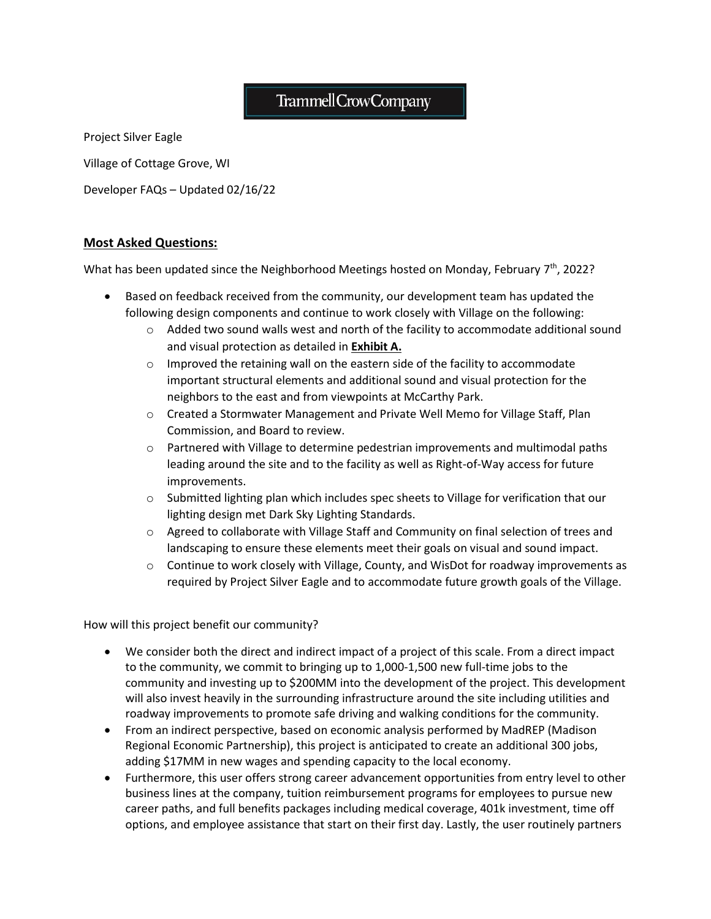# Trammell Crow Company

Project Silver Eagle

Village of Cottage Grove, WI

Developer FAQs – Updated 02/16/22

# **Most Asked Questions:**

What has been updated since the Neighborhood Meetings hosted on Monday, February 7<sup>th</sup>, 2022?

- Based on feedback received from the community, our development team has updated the following design components and continue to work closely with Village on the following:
	- o Added two sound walls west and north of the facility to accommodate additional sound and visual protection as detailed in **Exhibit A.**
	- o Improved the retaining wall on the eastern side of the facility to accommodate important structural elements and additional sound and visual protection for the neighbors to the east and from viewpoints at McCarthy Park.
	- o Created a Stormwater Management and Private Well Memo for Village Staff, Plan Commission, and Board to review.
	- $\circ$  Partnered with Village to determine pedestrian improvements and multimodal paths leading around the site and to the facility as well as Right-of-Way access for future improvements.
	- o Submitted lighting plan which includes spec sheets to Village for verification that our lighting design met Dark Sky Lighting Standards.
	- o Agreed to collaborate with Village Staff and Community on final selection of trees and landscaping to ensure these elements meet their goals on visual and sound impact.
	- o Continue to work closely with Village, County, and WisDot for roadway improvements as required by Project Silver Eagle and to accommodate future growth goals of the Village.

How will this project benefit our community?

- We consider both the direct and indirect impact of a project of this scale. From a direct impact to the community, we commit to bringing up to 1,000-1,500 new full-time jobs to the community and investing up to \$200MM into the development of the project. This development will also invest heavily in the surrounding infrastructure around the site including utilities and roadway improvements to promote safe driving and walking conditions for the community.
- From an indirect perspective, based on economic analysis performed by MadREP (Madison Regional Economic Partnership), this project is anticipated to create an additional 300 jobs, adding \$17MM in new wages and spending capacity to the local economy.
- Furthermore, this user offers strong career advancement opportunities from entry level to other business lines at the company, tuition reimbursement programs for employees to pursue new career paths, and full benefits packages including medical coverage, 401k investment, time off options, and employee assistance that start on their first day. Lastly, the user routinely partners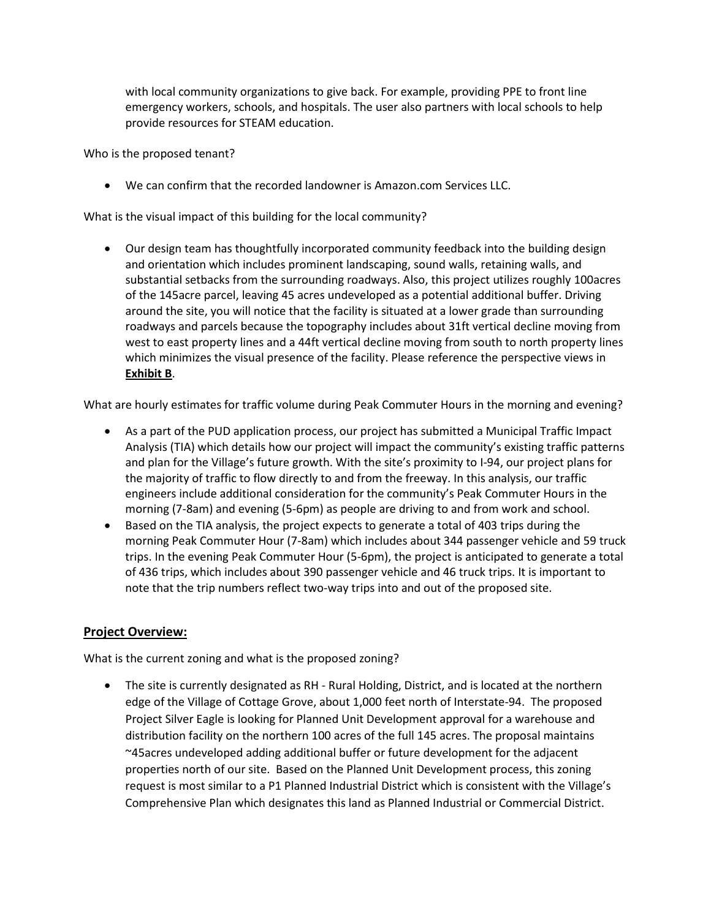with local community organizations to give back. For example, providing PPE to front line emergency workers, schools, and hospitals. The user also partners with local schools to help provide resources for STEAM education.

Who is the proposed tenant?

• We can confirm that the recorded landowner is Amazon.com Services LLC.

What is the visual impact of this building for the local community?

• Our design team has thoughtfully incorporated community feedback into the building design and orientation which includes prominent landscaping, sound walls, retaining walls, and substantial setbacks from the surrounding roadways. Also, this project utilizes roughly 100acres of the 145acre parcel, leaving 45 acres undeveloped as a potential additional buffer. Driving around the site, you will notice that the facility is situated at a lower grade than surrounding roadways and parcels because the topography includes about 31ft vertical decline moving from west to east property lines and a 44ft vertical decline moving from south to north property lines which minimizes the visual presence of the facility. Please reference the perspective views in **Exhibit B**.

What are hourly estimates for traffic volume during Peak Commuter Hours in the morning and evening?

- As a part of the PUD application process, our project has submitted a Municipal Traffic Impact Analysis (TIA) which details how our project will impact the community's existing traffic patterns and plan for the Village's future growth. With the site's proximity to I-94, our project plans for the majority of traffic to flow directly to and from the freeway. In this analysis, our traffic engineers include additional consideration for the community's Peak Commuter Hours in the morning (7-8am) and evening (5-6pm) as people are driving to and from work and school.
- Based on the TIA analysis, the project expects to generate a total of 403 trips during the morning Peak Commuter Hour (7-8am) which includes about 344 passenger vehicle and 59 truck trips. In the evening Peak Commuter Hour (5-6pm), the project is anticipated to generate a total of 436 trips, which includes about 390 passenger vehicle and 46 truck trips. It is important to note that the trip numbers reflect two-way trips into and out of the proposed site.

# **Project Overview:**

What is the current zoning and what is the proposed zoning?

• The site is currently designated as RH - Rural Holding, District, and is located at the northern edge of the Village of Cottage Grove, about 1,000 feet north of Interstate-94. The proposed Project Silver Eagle is looking for Planned Unit Development approval for a warehouse and distribution facility on the northern 100 acres of the full 145 acres. The proposal maintains ~45acres undeveloped adding additional buffer or future development for the adjacent properties north of our site. Based on the Planned Unit Development process, this zoning request is most similar to a P1 Planned Industrial District which is consistent with the Village's Comprehensive Plan which designates this land as Planned Industrial or Commercial District.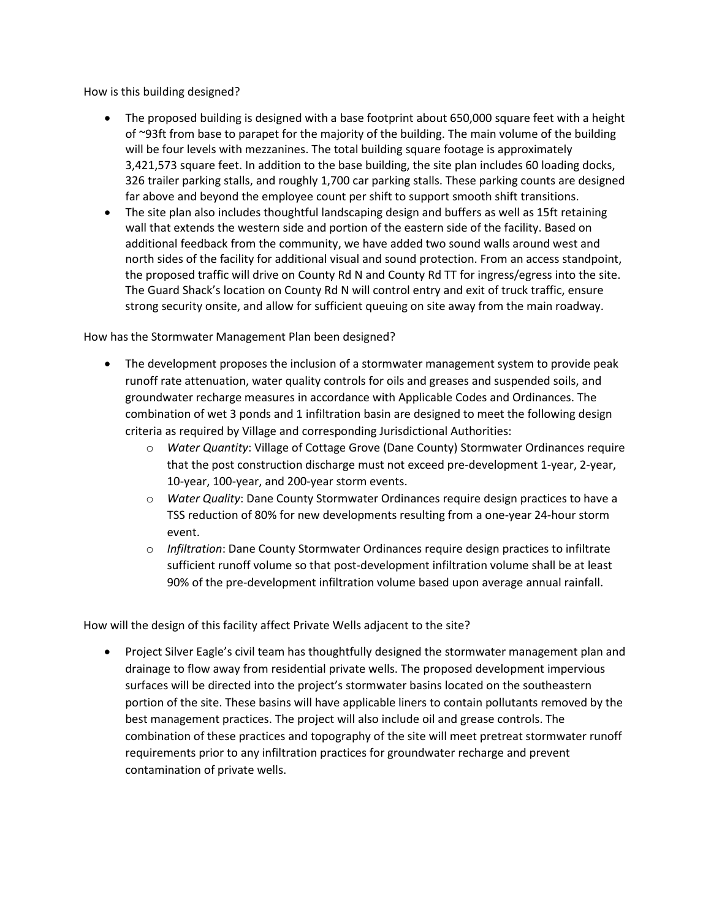How is this building designed?

- The proposed building is designed with a base footprint about 650,000 square feet with a height of ~93ft from base to parapet for the majority of the building. The main volume of the building will be four levels with mezzanines. The total building square footage is approximately 3,421,573 square feet. In addition to the base building, the site plan includes 60 loading docks, 326 trailer parking stalls, and roughly 1,700 car parking stalls. These parking counts are designed far above and beyond the employee count per shift to support smooth shift transitions.
- The site plan also includes thoughtful landscaping design and buffers as well as 15ft retaining wall that extends the western side and portion of the eastern side of the facility. Based on additional feedback from the community, we have added two sound walls around west and north sides of the facility for additional visual and sound protection. From an access standpoint, the proposed traffic will drive on County Rd N and County Rd TT for ingress/egress into the site. The Guard Shack's location on County Rd N will control entry and exit of truck traffic, ensure strong security onsite, and allow for sufficient queuing on site away from the main roadway.

#### How has the Stormwater Management Plan been designed?

- The development proposes the inclusion of a stormwater management system to provide peak runoff rate attenuation, water quality controls for oils and greases and suspended soils, and groundwater recharge measures in accordance with Applicable Codes and Ordinances. The combination of wet 3 ponds and 1 infiltration basin are designed to meet the following design criteria as required by Village and corresponding Jurisdictional Authorities:
	- o *Water Quantity*: Village of Cottage Grove (Dane County) Stormwater Ordinances require that the post construction discharge must not exceed pre-development 1-year, 2-year, 10-year, 100-year, and 200-year storm events.
	- o *Water Quality*: Dane County Stormwater Ordinances require design practices to have a TSS reduction of 80% for new developments resulting from a one-year 24-hour storm event.
	- o *Infiltration*: Dane County Stormwater Ordinances require design practices to infiltrate sufficient runoff volume so that post-development infiltration volume shall be at least 90% of the pre-development infiltration volume based upon average annual rainfall.

How will the design of this facility affect Private Wells adjacent to the site?

• Project Silver Eagle's civil team has thoughtfully designed the stormwater management plan and drainage to flow away from residential private wells. The proposed development impervious surfaces will be directed into the project's stormwater basins located on the southeastern portion of the site. These basins will have applicable liners to contain pollutants removed by the best management practices. The project will also include oil and grease controls. The combination of these practices and topography of the site will meet pretreat stormwater runoff requirements prior to any infiltration practices for groundwater recharge and prevent contamination of private wells.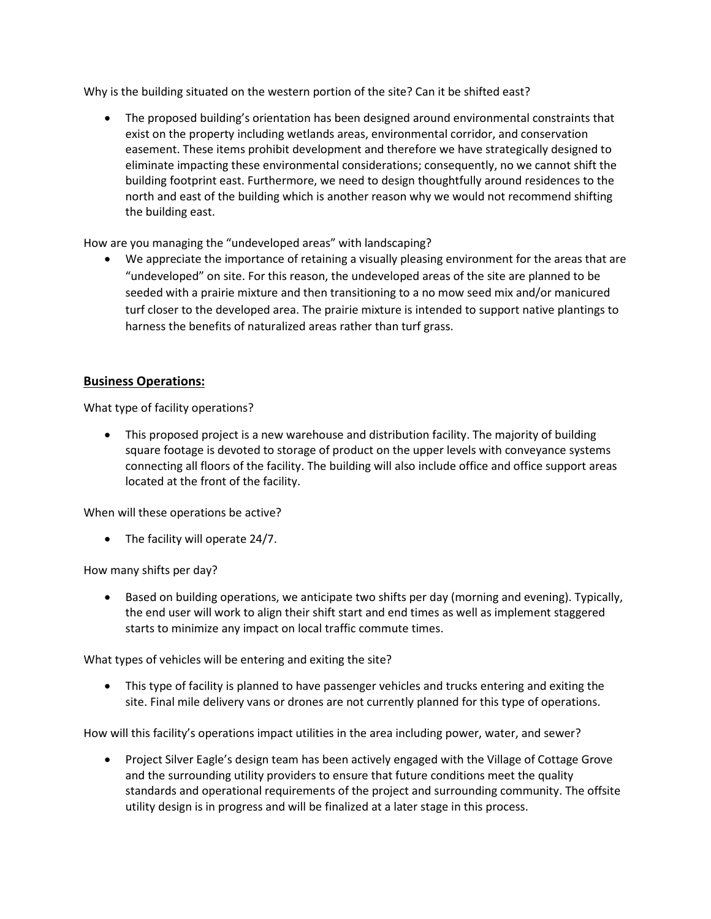Why is the building situated on the western portion of the site? Can it be shifted east?

• The proposed building's orientation has been designed around environmental constraints that exist on the property including wetlands areas, environmental corridor, and conservation easement. These items prohibit development and therefore we have strategically designed to eliminate impacting these environmental considerations; consequently, no we cannot shift the building footprint east. Furthermore, we need to design thoughtfully around residences to the north and east of the building which is another reason why we would not recommend shifting the building east.

How are you managing the "undeveloped areas" with landscaping?

• We appreciate the importance of retaining a visually pleasing environment for the areas that are "undeveloped" on site. For this reason, the undeveloped areas of the site are planned to be seeded with a prairie mixture and then transitioning to a no mow seed mix and/or manicured turf closer to the developed area. The prairie mixture is intended to support native plantings to harness the benefits of naturalized areas rather than turf grass.

### **Business Operations:**

What type of facility operations?

• This proposed project is a new warehouse and distribution facility. The majority of building square footage is devoted to storage of product on the upper levels with conveyance systems connecting all floors of the facility. The building will also include office and office support areas located at the front of the facility.

When will these operations be active?

• The facility will operate 24/7.

How many shifts per day?

• Based on building operations, we anticipate two shifts per day (morning and evening). Typically, the end user will work to align their shift start and end times as well as implement staggered starts to minimize any impact on local traffic commute times.

What types of vehicles will be entering and exiting the site?

• This type of facility is planned to have passenger vehicles and trucks entering and exiting the site. Final mile delivery vans or drones are not currently planned for this type of operations.

How will this facility's operations impact utilities in the area including power, water, and sewer?

• Project Silver Eagle's design team has been actively engaged with the Village of Cottage Grove and the surrounding utility providers to ensure that future conditions meet the quality standards and operational requirements of the project and surrounding community. The offsite utility design is in progress and will be finalized at a later stage in this process.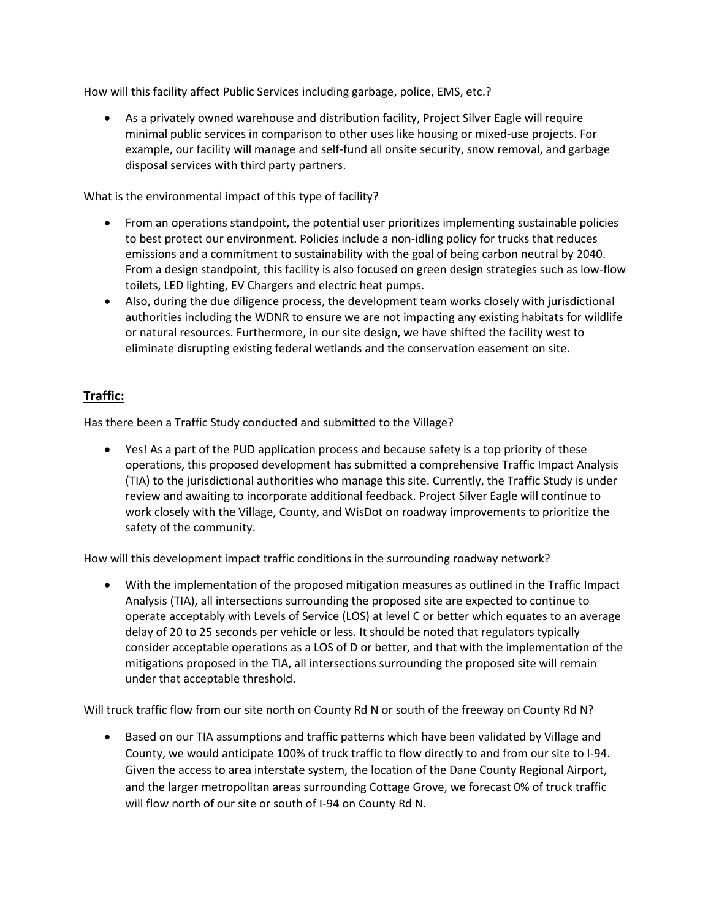How will this facility affect Public Services including garbage, police, EMS, etc.?

• As a privately owned warehouse and distribution facility, Project Silver Eagle will require minimal public services in comparison to other uses like housing or mixed-use projects. For example, our facility will manage and self-fund all onsite security, snow removal, and garbage disposal services with third party partners.

What is the environmental impact of this type of facility?

- From an operations standpoint, the potential user prioritizes implementing sustainable policies to best protect our environment. Policies include a non-idling policy for trucks that reduces emissions and a commitment to sustainability with the goal of being carbon neutral by 2040. From a design standpoint, this facility is also focused on green design strategies such as low-flow toilets, LED lighting, EV Chargers and electric heat pumps.
- Also, during the due diligence process, the development team works closely with jurisdictional authorities including the WDNR to ensure we are not impacting any existing habitats for wildlife or natural resources. Furthermore, in our site design, we have shifted the facility west to eliminate disrupting existing federal wetlands and the conservation easement on site.

# **Traffic:**

Has there been a Traffic Study conducted and submitted to the Village?

• Yes! As a part of the PUD application process and because safety is a top priority of these operations, this proposed development has submitted a comprehensive Traffic Impact Analysis (TIA) to the jurisdictional authorities who manage this site. Currently, the Traffic Study is under review and awaiting to incorporate additional feedback. Project Silver Eagle will continue to work closely with the Village, County, and WisDot on roadway improvements to prioritize the safety of the community.

How will this development impact traffic conditions in the surrounding roadway network?

• With the implementation of the proposed mitigation measures as outlined in the Traffic Impact Analysis (TIA), all intersections surrounding the proposed site are expected to continue to operate acceptably with Levels of Service (LOS) at level C or better which equates to an average delay of 20 to 25 seconds per vehicle or less. It should be noted that regulators typically consider acceptable operations as a LOS of D or better, and that with the implementation of the mitigations proposed in the TIA, all intersections surrounding the proposed site will remain under that acceptable threshold.

Will truck traffic flow from our site north on County Rd N or south of the freeway on County Rd N?

• Based on our TIA assumptions and traffic patterns which have been validated by Village and County, we would anticipate 100% of truck traffic to flow directly to and from our site to I-94. Given the access to area interstate system, the location of the Dane County Regional Airport, and the larger metropolitan areas surrounding Cottage Grove, we forecast 0% of truck traffic will flow north of our site or south of I-94 on County Rd N.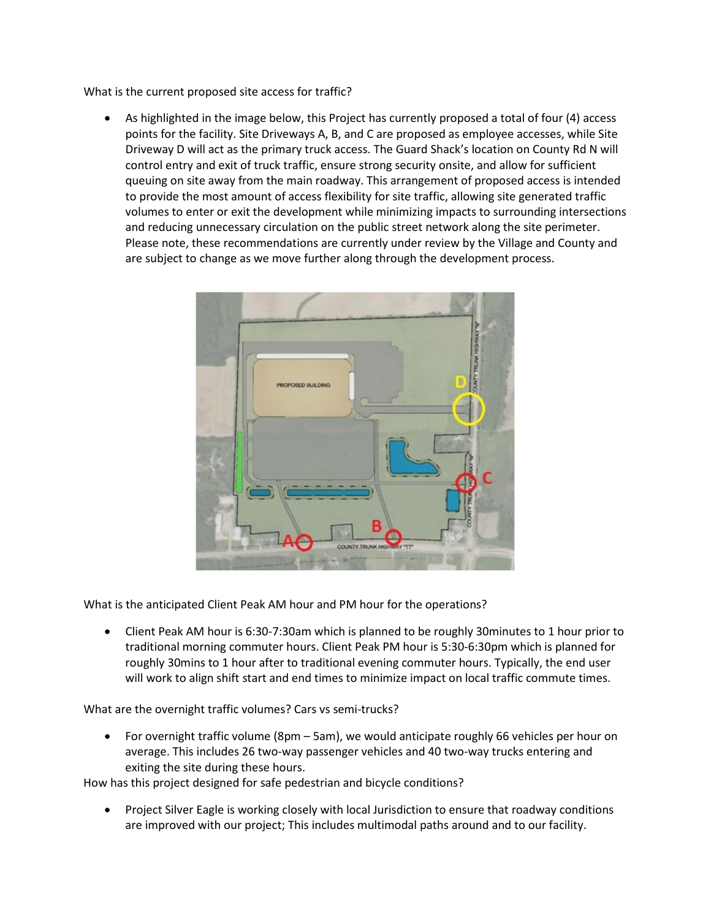What is the current proposed site access for traffic?

• As highlighted in the image below, this Project has currently proposed a total of four (4) access points for the facility. Site Driveways A, B, and C are proposed as employee accesses, while Site Driveway D will act as the primary truck access. The Guard Shack's location on County Rd N will control entry and exit of truck traffic, ensure strong security onsite, and allow for sufficient queuing on site away from the main roadway. This arrangement of proposed access is intended to provide the most amount of access flexibility for site traffic, allowing site generated traffic volumes to enter or exit the development while minimizing impacts to surrounding intersections and reducing unnecessary circulation on the public street network along the site perimeter. Please note, these recommendations are currently under review by the Village and County and are subject to change as we move further along through the development process.



What is the anticipated Client Peak AM hour and PM hour for the operations?

• Client Peak AM hour is 6:30-7:30am which is planned to be roughly 30minutes to 1 hour prior to traditional morning commuter hours. Client Peak PM hour is 5:30-6:30pm which is planned for roughly 30mins to 1 hour after to traditional evening commuter hours. Typically, the end user will work to align shift start and end times to minimize impact on local traffic commute times.

What are the overnight traffic volumes? Cars vs semi-trucks?

• For overnight traffic volume (8pm – 5am), we would anticipate roughly 66 vehicles per hour on average. This includes 26 two-way passenger vehicles and 40 two-way trucks entering and exiting the site during these hours.

How has this project designed for safe pedestrian and bicycle conditions?

• Project Silver Eagle is working closely with local Jurisdiction to ensure that roadway conditions are improved with our project; This includes multimodal paths around and to our facility.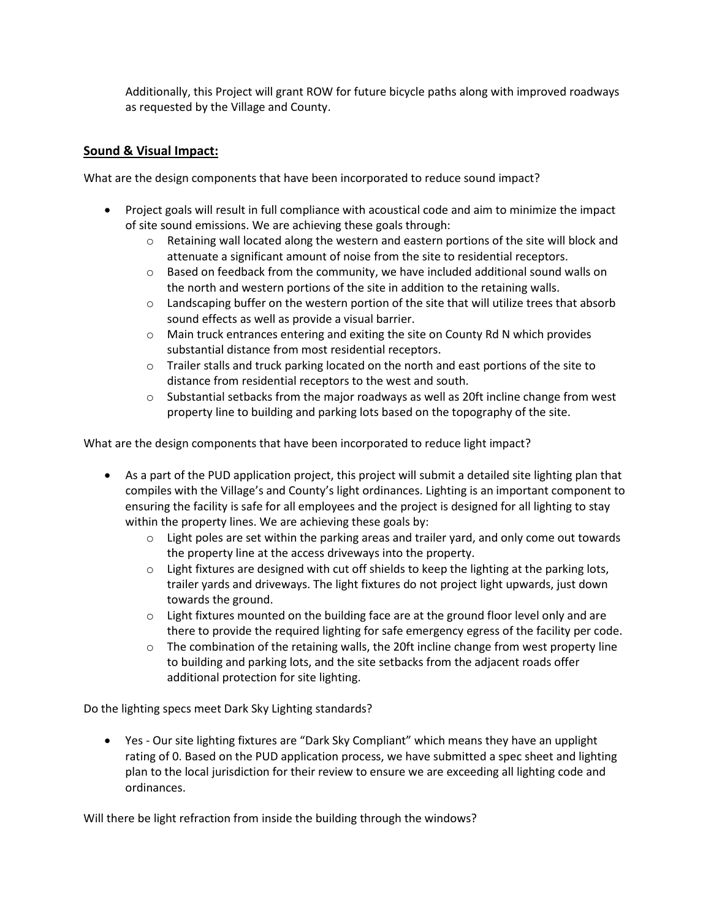Additionally, this Project will grant ROW for future bicycle paths along with improved roadways as requested by the Village and County.

## **Sound & Visual Impact:**

What are the design components that have been incorporated to reduce sound impact?

- Project goals will result in full compliance with acoustical code and aim to minimize the impact of site sound emissions. We are achieving these goals through:
	- $\circ$  Retaining wall located along the western and eastern portions of the site will block and attenuate a significant amount of noise from the site to residential receptors.
	- $\circ$  Based on feedback from the community, we have included additional sound walls on the north and western portions of the site in addition to the retaining walls.
	- o Landscaping buffer on the western portion of the site that will utilize trees that absorb sound effects as well as provide a visual barrier.
	- $\circ$  Main truck entrances entering and exiting the site on County Rd N which provides substantial distance from most residential receptors.
	- o Trailer stalls and truck parking located on the north and east portions of the site to distance from residential receptors to the west and south.
	- $\circ$  Substantial setbacks from the major roadways as well as 20ft incline change from west property line to building and parking lots based on the topography of the site.

What are the design components that have been incorporated to reduce light impact?

- As a part of the PUD application project, this project will submit a detailed site lighting plan that compiles with the Village's and County's light ordinances. Lighting is an important component to ensuring the facility is safe for all employees and the project is designed for all lighting to stay within the property lines. We are achieving these goals by:
	- $\circ$  Light poles are set within the parking areas and trailer vard, and only come out towards the property line at the access driveways into the property.
	- $\circ$  Light fixtures are designed with cut off shields to keep the lighting at the parking lots, trailer yards and driveways. The light fixtures do not project light upwards, just down towards the ground.
	- $\circ$  Light fixtures mounted on the building face are at the ground floor level only and are there to provide the required lighting for safe emergency egress of the facility per code.
	- o The combination of the retaining walls, the 20ft incline change from west property line to building and parking lots, and the site setbacks from the adjacent roads offer additional protection for site lighting.

Do the lighting specs meet Dark Sky Lighting standards?

• Yes - Our site lighting fixtures are "Dark Sky Compliant" which means they have an upplight rating of 0. Based on the PUD application process, we have submitted a spec sheet and lighting plan to the local jurisdiction for their review to ensure we are exceeding all lighting code and ordinances.

Will there be light refraction from inside the building through the windows?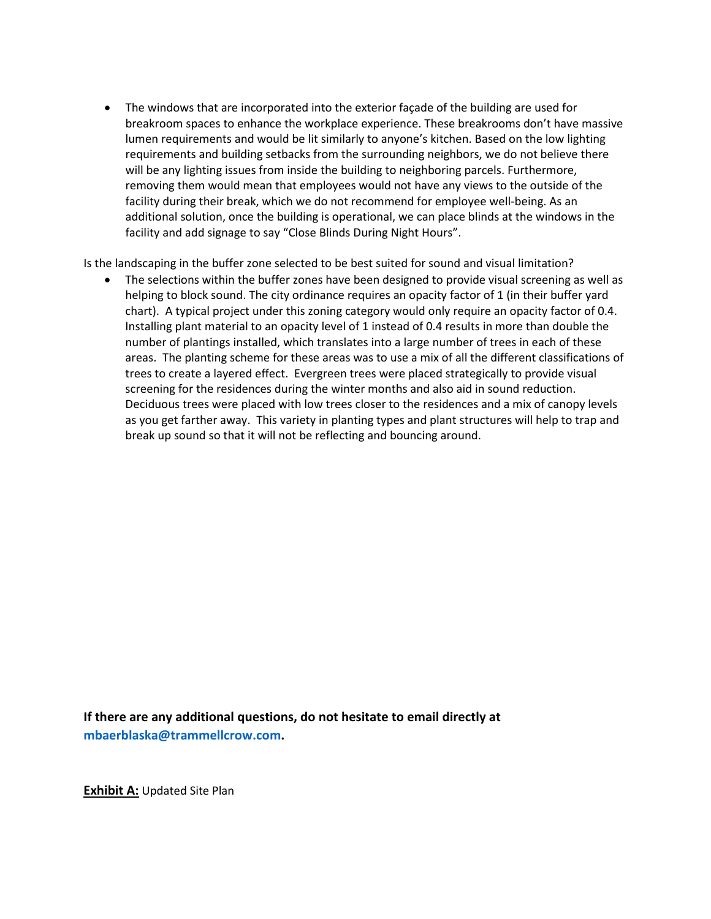• The windows that are incorporated into the exterior façade of the building are used for breakroom spaces to enhance the workplace experience. These breakrooms don't have massive lumen requirements and would be lit similarly to anyone's kitchen. Based on the low lighting requirements and building setbacks from the surrounding neighbors, we do not believe there will be any lighting issues from inside the building to neighboring parcels. Furthermore, removing them would mean that employees would not have any views to the outside of the facility during their break, which we do not recommend for employee well-being. As an additional solution, once the building is operational, we can place blinds at the windows in the facility and add signage to say "Close Blinds During Night Hours".

Is the landscaping in the buffer zone selected to be best suited for sound and visual limitation?

• The selections within the buffer zones have been designed to provide visual screening as well as helping to block sound. The city ordinance requires an opacity factor of 1 (in their buffer yard chart). A typical project under this zoning category would only require an opacity factor of 0.4. Installing plant material to an opacity level of 1 instead of 0.4 results in more than double the number of plantings installed, which translates into a large number of trees in each of these areas. The planting scheme for these areas was to use a mix of all the different classifications of trees to create a layered effect. Evergreen trees were placed strategically to provide visual screening for the residences during the winter months and also aid in sound reduction. Deciduous trees were placed with low trees closer to the residences and a mix of canopy levels as you get farther away. This variety in planting types and plant structures will help to trap and break up sound so that it will not be reflecting and bouncing around.

**If there are any additional questions, do not hesitate to email directly at [mbaerblaska@trammellcrow.com.](mailto:mbaerblaska@trammellcrow.com)**

**Exhibit A:** Updated Site Plan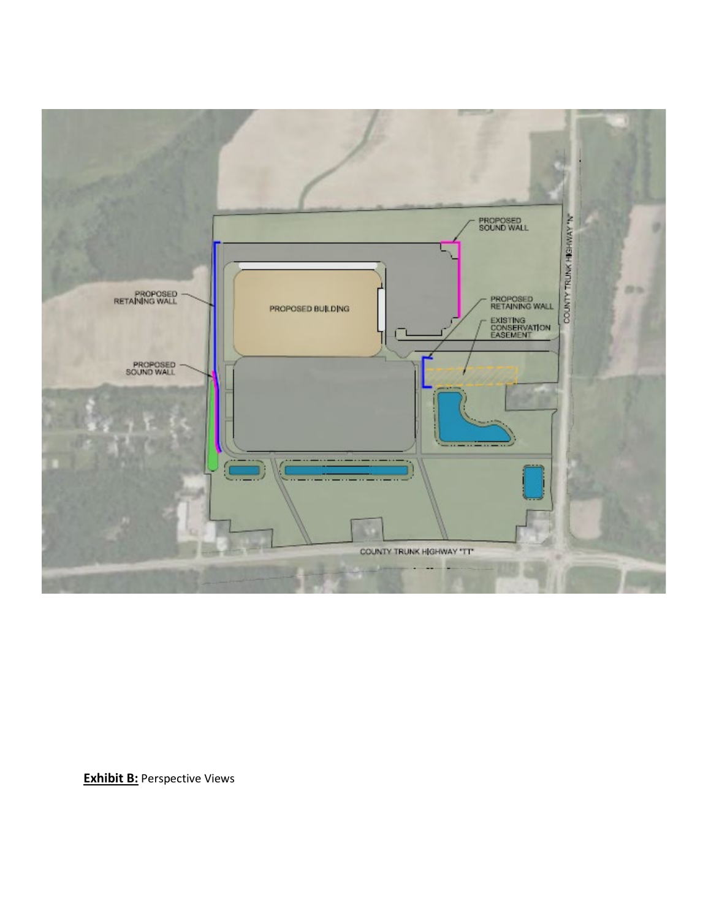

**Exhibit B:** Perspective Views